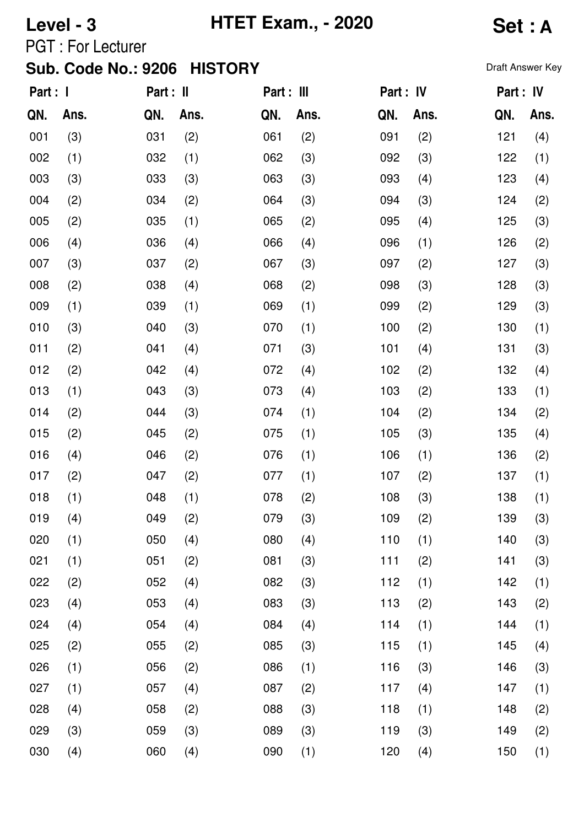# **Level - 3 HTET Exam., - 2020 Set : A**

PGT : For Lecturer

| Part : I |      | Part : II |      | Part : III |      | Part : IV |      | Part : IV |      |
|----------|------|-----------|------|------------|------|-----------|------|-----------|------|
| QN.      | Ans. | QN.       | Ans. | QN.        | Ans. | QN.       | Ans. | QN.       | Ans. |
| 001      | (3)  | 031       | (2)  | 061        | (2)  | 091       | (2)  | 121       | (4)  |
| 002      | (1)  | 032       | (1)  | 062        | (3)  | 092       | (3)  | 122       | (1)  |
| 003      | (3)  | 033       | (3)  | 063        | (3)  | 093       | (4)  | 123       | (4)  |
| 004      | (2)  | 034       | (2)  | 064        | (3)  | 094       | (3)  | 124       | (2)  |
| 005      | (2)  | 035       | (1)  | 065        | (2)  | 095       | (4)  | 125       | (3)  |
| 006      | (4)  | 036       | (4)  | 066        | (4)  | 096       | (1)  | 126       | (2)  |
| 007      | (3)  | 037       | (2)  | 067        | (3)  | 097       | (2)  | 127       | (3)  |
| 008      | (2)  | 038       | (4)  | 068        | (2)  | 098       | (3)  | 128       | (3)  |
| 009      | (1)  | 039       | (1)  | 069        | (1)  | 099       | (2)  | 129       | (3)  |
| 010      | (3)  | 040       | (3)  | 070        | (1)  | 100       | (2)  | 130       | (1)  |
| 011      | (2)  | 041       | (4)  | 071        | (3)  | 101       | (4)  | 131       | (3)  |
| 012      | (2)  | 042       | (4)  | 072        | (4)  | 102       | (2)  | 132       | (4)  |
| 013      | (1)  | 043       | (3)  | 073        | (4)  | 103       | (2)  | 133       | (1)  |
| 014      | (2)  | 044       | (3)  | 074        | (1)  | 104       | (2)  | 134       | (2)  |
| 015      | (2)  | 045       | (2)  | 075        | (1)  | 105       | (3)  | 135       | (4)  |
| 016      | (4)  | 046       | (2)  | 076        | (1)  | 106       | (1)  | 136       | (2)  |
| 017      | (2)  | 047       | (2)  | 077        | (1)  | 107       | (2)  | 137       | (1)  |
| 018      | (1)  | 048       | (1)  | 078        | (2)  | 108       | (3)  | 138       | (1)  |
| 019      | (4)  | 049       | (2)  | 079        | (3)  | 109       | (2)  | 139       | (3)  |
| 020      | (1)  | 050       | (4)  | 080        | (4)  | 110       | (1)  | 140       | (3)  |
| 021      | (1)  | 051       | (2)  | 081        | (3)  | 111       | (2)  | 141       | (3)  |
| 022      | (2)  | 052       | (4)  | 082        | (3)  | 112       | (1)  | 142       | (1)  |
| 023      | (4)  | 053       | (4)  | 083        | (3)  | 113       | (2)  | 143       | (2)  |
| 024      | (4)  | 054       | (4)  | 084        | (4)  | 114       | (1)  | 144       | (1)  |
| 025      | (2)  | 055       | (2)  | 085        | (3)  | 115       | (1)  | 145       | (4)  |
| 026      | (1)  | 056       | (2)  | 086        | (1)  | 116       | (3)  | 146       | (3)  |
| 027      | (1)  | 057       | (4)  | 087        | (2)  | 117       | (4)  | 147       | (1)  |
| 028      | (4)  | 058       | (2)  | 088        | (3)  | 118       | (1)  | 148       | (2)  |
| 029      | (3)  | 059       | (3)  | 089        | (3)  | 119       | (3)  | 149       | (2)  |
| 030      | (4)  | 060       | (4)  | 090        | (1)  | 120       | (4)  | 150       | (1)  |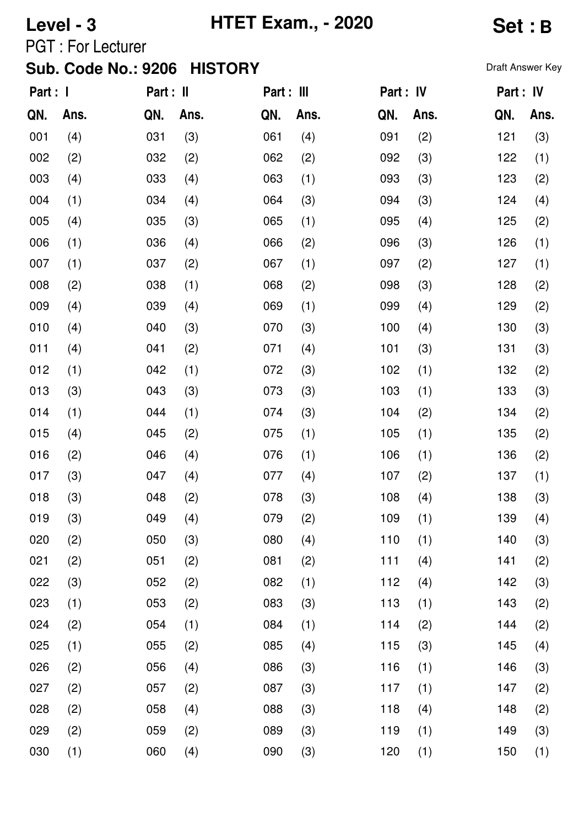# **Level - 3 HTET Exam., - 2020 Set : B**

PGT : For Lecturer

| Part : I |      | Part : II |      | Part : III |      | Part : IV |      |     | Part : IV |
|----------|------|-----------|------|------------|------|-----------|------|-----|-----------|
| QN.      | Ans. | QN.       | Ans. | QN.        | Ans. | QN.       | Ans. | QN. | Ans.      |
| 001      | (4)  | 031       | (3)  | 061        | (4)  | 091       | (2)  | 121 | (3)       |
| 002      | (2)  | 032       | (2)  | 062        | (2)  | 092       | (3)  | 122 | (1)       |
| 003      | (4)  | 033       | (4)  | 063        | (1)  | 093       | (3)  | 123 | (2)       |
| 004      | (1)  | 034       | (4)  | 064        | (3)  | 094       | (3)  | 124 | (4)       |
| 005      | (4)  | 035       | (3)  | 065        | (1)  | 095       | (4)  | 125 | (2)       |
| 006      | (1)  | 036       | (4)  | 066        | (2)  | 096       | (3)  | 126 | (1)       |
| 007      | (1)  | 037       | (2)  | 067        | (1)  | 097       | (2)  | 127 | (1)       |
| 008      | (2)  | 038       | (1)  | 068        | (2)  | 098       | (3)  | 128 | (2)       |
| 009      | (4)  | 039       | (4)  | 069        | (1)  | 099       | (4)  | 129 | (2)       |
| 010      | (4)  | 040       | (3)  | 070        | (3)  | 100       | (4)  | 130 | (3)       |
| 011      | (4)  | 041       | (2)  | 071        | (4)  | 101       | (3)  | 131 | (3)       |
| 012      | (1)  | 042       | (1)  | 072        | (3)  | 102       | (1)  | 132 | (2)       |
| 013      | (3)  | 043       | (3)  | 073        | (3)  | 103       | (1)  | 133 | (3)       |
| 014      | (1)  | 044       | (1)  | 074        | (3)  | 104       | (2)  | 134 | (2)       |
| 015      | (4)  | 045       | (2)  | 075        | (1)  | 105       | (1)  | 135 | (2)       |
| 016      | (2)  | 046       | (4)  | 076        | (1)  | 106       | (1)  | 136 | (2)       |
| 017      | (3)  | 047       | (4)  | 077        | (4)  | 107       | (2)  | 137 | (1)       |
| 018      | (3)  | 048       | (2)  | 078        | (3)  | 108       | (4)  | 138 | (3)       |
| 019      | (3)  | 049       | (4)  | 079        | (2)  | 109       | (1)  | 139 | (4)       |
| 020      | (2)  | 050       | (3)  | 080        | (4)  | 110       | (1)  | 140 | (3)       |
| 021      | (2)  | 051       | (2)  | 081        | (2)  | 111       | (4)  | 141 | (2)       |
| 022      | (3)  | 052       | (2)  | 082        | (1)  | 112       | (4)  | 142 | (3)       |
| 023      | (1)  | 053       | (2)  | 083        | (3)  | 113       | (1)  | 143 | (2)       |
| 024      | (2)  | 054       | (1)  | 084        | (1)  | 114       | (2)  | 144 | (2)       |
| 025      | (1)  | 055       | (2)  | 085        | (4)  | 115       | (3)  | 145 | (4)       |
| 026      | (2)  | 056       | (4)  | 086        | (3)  | 116       | (1)  | 146 | (3)       |
| 027      | (2)  | 057       | (2)  | 087        | (3)  | 117       | (1)  | 147 | (2)       |
| 028      | (2)  | 058       | (4)  | 088        | (3)  | 118       | (4)  | 148 | (2)       |
| 029      | (2)  | 059       | (2)  | 089        | (3)  | 119       | (1)  | 149 | (3)       |
| 030      | (1)  | 060       | (4)  | 090        | (3)  | 120       | (1)  | 150 | (1)       |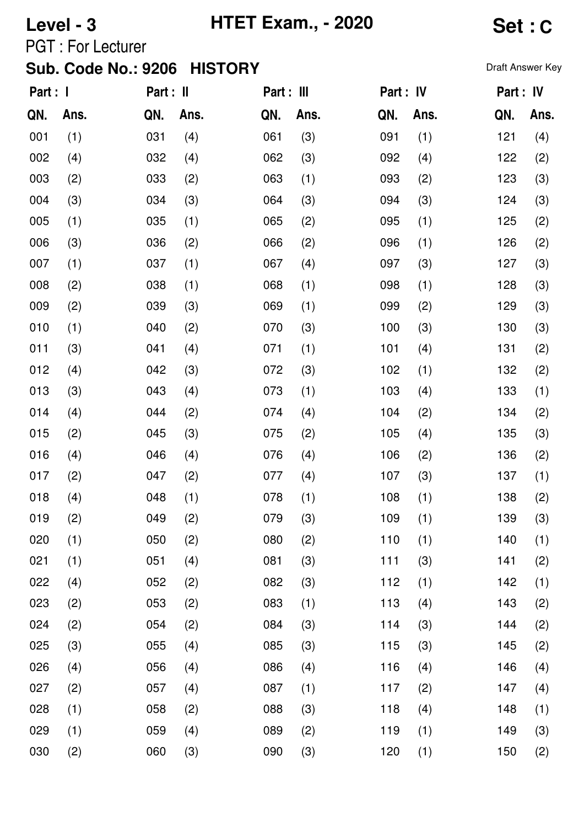# **Level - 3 HTET Exam., - 2020 Set : C**

PGT : For Lecturer

| Part : I |      | Part : II |      | Part : III |      | Part : IV |      | Part : IV |      |
|----------|------|-----------|------|------------|------|-----------|------|-----------|------|
| QN.      | Ans. | QN.       | Ans. | QN.        | Ans. | QN.       | Ans. | QN.       | Ans. |
| 001      | (1)  | 031       | (4)  | 061        | (3)  | 091       | (1)  | 121       | (4)  |
| 002      | (4)  | 032       | (4)  | 062        | (3)  | 092       | (4)  | 122       | (2)  |
| 003      | (2)  | 033       | (2)  | 063        | (1)  | 093       | (2)  | 123       | (3)  |
| 004      | (3)  | 034       | (3)  | 064        | (3)  | 094       | (3)  | 124       | (3)  |
| 005      | (1)  | 035       | (1)  | 065        | (2)  | 095       | (1)  | 125       | (2)  |
| 006      | (3)  | 036       | (2)  | 066        | (2)  | 096       | (1)  | 126       | (2)  |
| 007      | (1)  | 037       | (1)  | 067        | (4)  | 097       | (3)  | 127       | (3)  |
| 008      | (2)  | 038       | (1)  | 068        | (1)  | 098       | (1)  | 128       | (3)  |
| 009      | (2)  | 039       | (3)  | 069        | (1)  | 099       | (2)  | 129       | (3)  |
| 010      | (1)  | 040       | (2)  | 070        | (3)  | 100       | (3)  | 130       | (3)  |
| 011      | (3)  | 041       | (4)  | 071        | (1)  | 101       | (4)  | 131       | (2)  |
| 012      | (4)  | 042       | (3)  | 072        | (3)  | 102       | (1)  | 132       | (2)  |
| 013      | (3)  | 043       | (4)  | 073        | (1)  | 103       | (4)  | 133       | (1)  |
| 014      | (4)  | 044       | (2)  | 074        | (4)  | 104       | (2)  | 134       | (2)  |
| 015      | (2)  | 045       | (3)  | 075        | (2)  | 105       | (4)  | 135       | (3)  |
| 016      | (4)  | 046       | (4)  | 076        | (4)  | 106       | (2)  | 136       | (2)  |
| 017      | (2)  | 047       | (2)  | 077        | (4)  | 107       | (3)  | 137       | (1)  |
| 018      | (4)  | 048       | (1)  | 078        | (1)  | 108       | (1)  | 138       | (2)  |
| 019      | (2)  | 049       | (2)  | 079        | (3)  | 109       | (1)  | 139       | (3)  |
| 020      | (1)  | 050       | (2)  | 080        | (2)  | 110       | (1)  | 140       | (1)  |
| 021      | (1)  | 051       | (4)  | 081        | (3)  | 111       | (3)  | 141       | (2)  |
| 022      | (4)  | 052       | (2)  | 082        | (3)  | 112       | (1)  | 142       | (1)  |
| 023      | (2)  | 053       | (2)  | 083        | (1)  | 113       | (4)  | 143       | (2)  |
| 024      | (2)  | 054       | (2)  | 084        | (3)  | 114       | (3)  | 144       | (2)  |
| 025      | (3)  | 055       | (4)  | 085        | (3)  | 115       | (3)  | 145       | (2)  |
| 026      | (4)  | 056       | (4)  | 086        | (4)  | 116       | (4)  | 146       | (4)  |
| 027      | (2)  | 057       | (4)  | 087        | (1)  | 117       | (2)  | 147       | (4)  |
| 028      | (1)  | 058       | (2)  | 088        | (3)  | 118       | (4)  | 148       | (1)  |
| 029      | (1)  | 059       | (4)  | 089        | (2)  | 119       | (1)  | 149       | (3)  |
| 030      | (2)  | 060       | (3)  | 090        | (3)  | 120       | (1)  | 150       | (2)  |